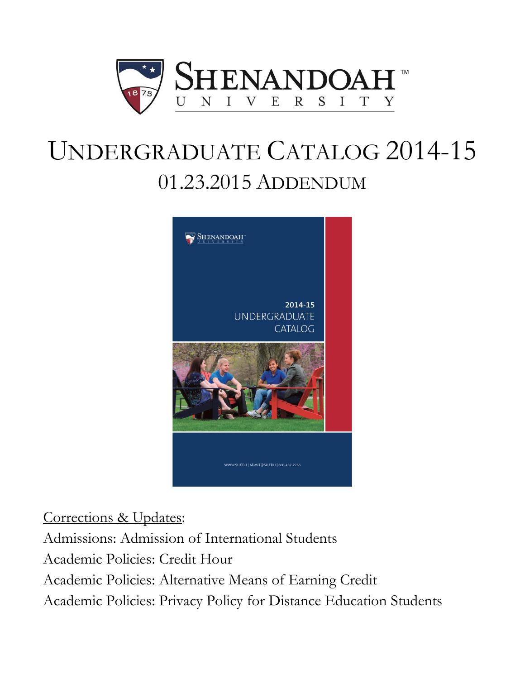

# UNDERGRADUATE CATALOG 2014-15 01.23.2015 ADDENDUM



Corrections & Updates:

Admissions: Admission of International Students Academic Policies: Credit Hour Academic Policies: Alternative Means of Earning Credit Academic Policies: Privacy Policy for Distance Education Students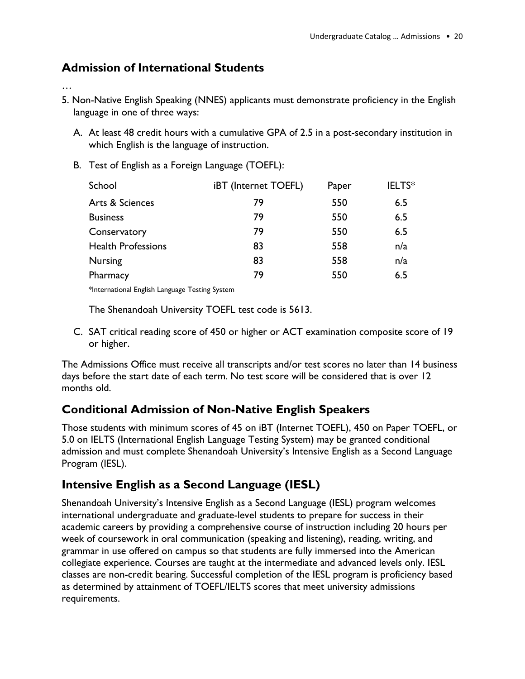### **Admission of International Students**

#### …

- 5. Non-Native English Speaking (NNES) applicants must demonstrate proficiency in the English language in one of three ways:
	- A. At least 48 credit hours with a cumulative GPA of 2.5 in a post-secondary institution in which English is the language of instruction.
	- B. Test of English as a Foreign Language (TOEFL):

| School                    | iBT (Internet TOEFL) | Paper | IELTS* |
|---------------------------|----------------------|-------|--------|
| Arts & Sciences           | 79                   | 550   | 6.5    |
| <b>Business</b>           | 79                   | 550   | 6.5    |
| Conservatory              | 79                   | 550   | 6.5    |
| <b>Health Professions</b> | 83                   | 558   | n/a    |
| <b>Nursing</b>            | 83                   | 558   | n/a    |
| Pharmacy                  | 79                   | 550   | 6.5    |
|                           |                      |       |        |

\*International English Language Testing System

The Shenandoah University TOEFL test code is 5613.

C. SAT critical reading score of 450 or higher or ACT examination composite score of 19 or higher.

The Admissions Office must receive all transcripts and/or test scores no later than 14 business days before the start date of each term. No test score will be considered that is over 12 months old.

### **Conditional Admission of Non-Native English Speakers**

Those students with minimum scores of 45 on iBT (Internet TOEFL), 450 on Paper TOEFL, or 5.0 on IELTS (International English Language Testing System) may be granted conditional admission and must complete Shenandoah University's Intensive English as a Second Language Program (IESL).

### **Intensive English as a Second Language (IESL)**

Shenandoah University's Intensive English as a Second Language (IESL) program welcomes international undergraduate and graduate-level students to prepare for success in their academic careers by providing a comprehensive course of instruction including 20 hours per week of coursework in oral communication (speaking and listening), reading, writing, and grammar in use offered on campus so that students are fully immersed into the American collegiate experience. Courses are taught at the intermediate and advanced levels only. IESL classes are non-credit bearing. Successful completion of the IESL program is proficiency based as determined by attainment of TOEFL/IELTS scores that meet university admissions requirements.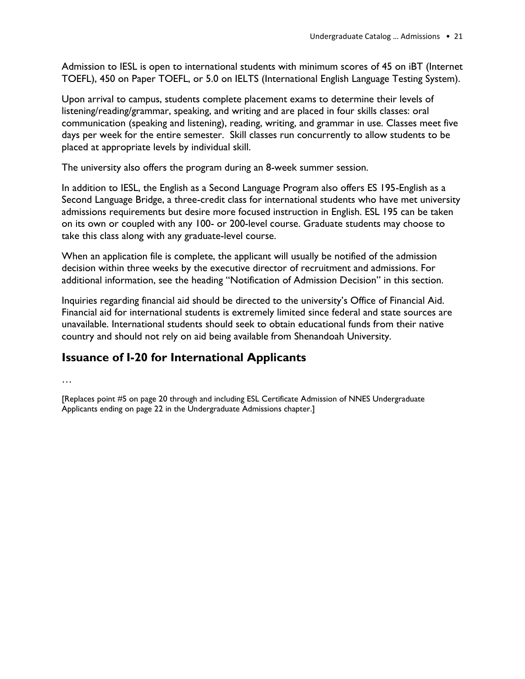Admission to IESL is open to international students with minimum scores of 45 on iBT (Internet TOEFL), 450 on Paper TOEFL, or 5.0 on IELTS (International English Language Testing System).

Upon arrival to campus, students complete placement exams to determine their levels of listening/reading/grammar, speaking, and writing and are placed in four skills classes: oral communication (speaking and listening), reading, writing, and grammar in use. Classes meet five days per week for the entire semester. Skill classes run concurrently to allow students to be placed at appropriate levels by individual skill.

The university also offers the program during an 8-week summer session.

In addition to IESL, the English as a Second Language Program also offers ES 195-English as a Second Language Bridge, a three-credit class for international students who have met university admissions requirements but desire more focused instruction in English. ESL 195 can be taken on its own or coupled with any 100- or 200-level course. Graduate students may choose to take this class along with any graduate-level course.

When an application file is complete, the applicant will usually be notified of the admission decision within three weeks by the executive director of recruitment and admissions. For additional information, see the heading "Notification of Admission Decision" in this section.

Inquiries regarding financial aid should be directed to the university's Office of Financial Aid. Financial aid for international students is extremely limited since federal and state sources are unavailable. International students should seek to obtain educational funds from their native country and should not rely on aid being available from Shenandoah University.

### **Issuance of I-20 for International Applicants**

…

[Replaces point #5 on page 20 through and including ESL Certificate Admission of NNES Undergraduate Applicants ending on page 22 in the Undergraduate Admissions chapter.]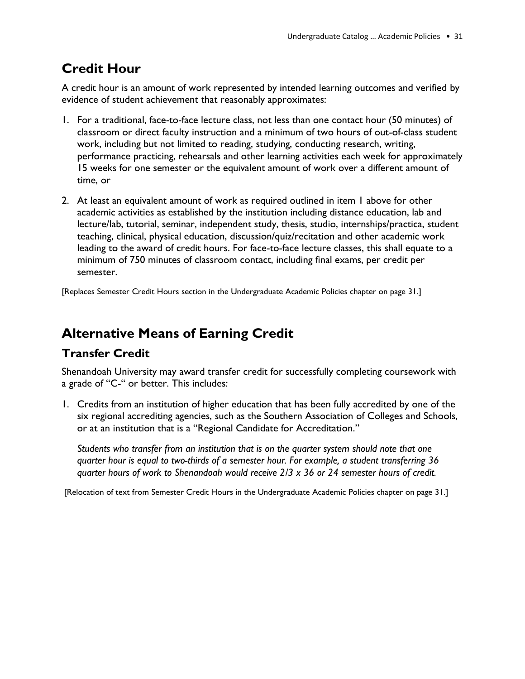## **Credit Hour**

A credit hour is an amount of work represented by intended learning outcomes and verified by evidence of student achievement that reasonably approximates:

- 1. For a traditional, face-to-face lecture class, not less than one contact hour (50 minutes) of classroom or direct faculty instruction and a minimum of two hours of out-of-class student work, including but not limited to reading, studying, conducting research, writing, performance practicing, rehearsals and other learning activities each week for approximately 15 weeks for one semester or the equivalent amount of work over a different amount of time, or
- 2. At least an equivalent amount of work as required outlined in item 1 above for other academic activities as established by the institution including distance education, lab and lecture/lab, tutorial, seminar, independent study, thesis, studio, internships/practica, student teaching, clinical, physical education, discussion/quiz/recitation and other academic work leading to the award of credit hours. For face-to-face lecture classes, this shall equate to a minimum of 750 minutes of classroom contact, including final exams, per credit per semester.

[Replaces Semester Credit Hours section in the Undergraduate Academic Policies chapter on page 31.]

## **Alternative Means of Earning Credit**

### **Transfer Credit**

Shenandoah University may award transfer credit for successfully completing coursework with a grade of "C-" or better. This includes:

1. Credits from an institution of higher education that has been fully accredited by one of the six regional accrediting agencies, such as the Southern Association of Colleges and Schools, or at an institution that is a "Regional Candidate for Accreditation."

*Students who transfer from an institution that is on the quarter system should note that one quarter hour is equal to two-thirds of a semester hour. For example, a student transferring 36 quarter hours of work to Shenandoah would receive 2/3 x 36 or 24 semester hours of credit.*

[Relocation of text from Semester Credit Hours in the Undergraduate Academic Policies chapter on page 31.]